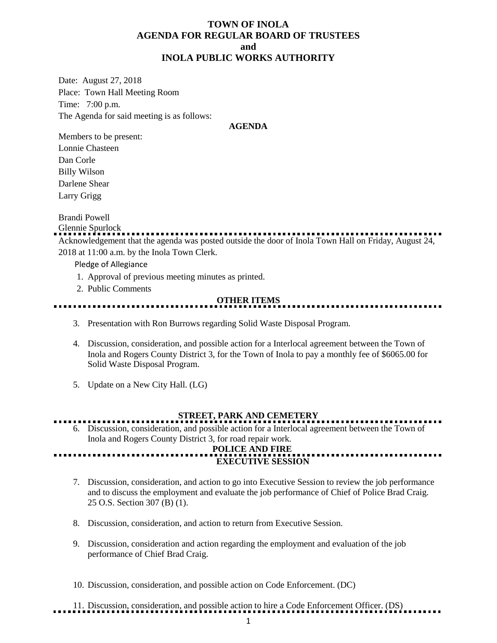### **TOWN OF INOLA AGENDA FOR REGULAR BOARD OF TRUSTEES and INOLA PUBLIC WORKS AUTHORITY**

Date: August 27, 2018 Place: Town Hall Meeting Room Time: 7:00 p.m. The Agenda for said meeting is as follows:

### **AGENDA**

Members to be present: Lonnie Chasteen Dan Corle Billy Wilson Darlene Shear Larry Grigg

Brandi Powell

#### Glennie Spurlock

Acknowledgement that the agenda was posted outside the door of Inola Town Hall on Friday, August 24, 2018 at 11:00 a.m. by the Inola Town Clerk.

Pledge of Allegiance

- 1. Approval of previous meeting minutes as printed.
- 2. Public Comments

### **OTHER ITEMS**

- 3. Presentation with Ron Burrows regarding Solid Waste Disposal Program.
- 4. Discussion, consideration, and possible action for a Interlocal agreement between the Town of Inola and Rogers County District 3, for the Town of Inola to pay a monthly fee of \$6065.00 for Solid Waste Disposal Program.
- 5. Update on a New City Hall. (LG)

### **STREET, PARK AND CEMETERY**

6. Discussion, consideration, and possible action for a Interlocal agreement between the Town of Inola and Rogers County District 3, for road repair work.

### **POLICE AND FIRE EXECUTIVE SESSION**

- 7. Discussion, consideration, and action to go into Executive Session to review the job performance and to discuss the employment and evaluate the job performance of Chief of Police Brad Craig. 25 O.S. Section 307 (B) (1).
- 8. Discussion, consideration, and action to return from Executive Session.
- 9. Discussion, consideration and action regarding the employment and evaluation of the job performance of Chief Brad Craig.
- 10. Discussion, consideration, and possible action on Code Enforcement. (DC)
- 11. Discussion, consideration, and possible action to hire a Code Enforcement Officer. (DS)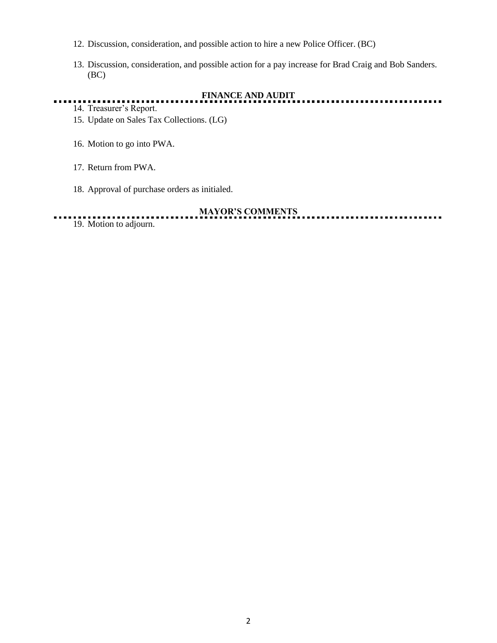- 12. Discussion, consideration, and possible action to hire a new Police Officer. (BC)
- 13. Discussion, consideration, and possible action for a pay increase for Brad Craig and Bob Sanders. (BC)

. . .

# **FINANCE AND AUDIT**

- 14. Treasurer's Report.
- 15. Update on Sales Tax Collections. (LG)
- 16. Motion to go into PWA.
- 17. Return from PWA.
- 18. Approval of purchase orders as initialed.

### **MAYOR'S COMMENTS**

19. Motion to adjourn.